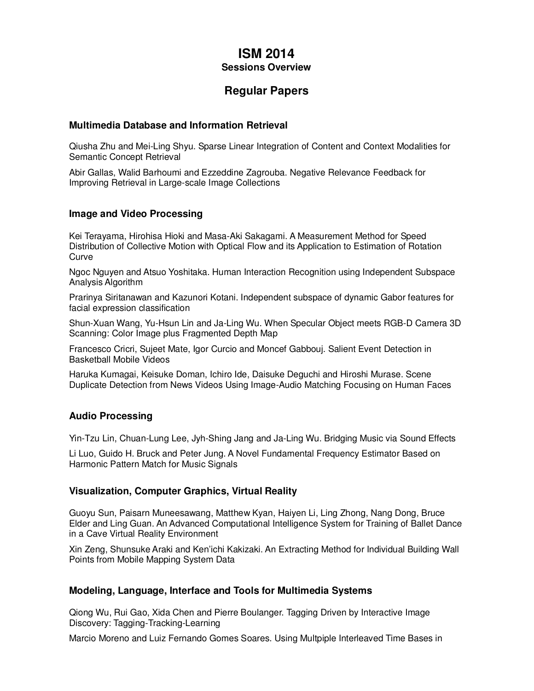# **ISM 2014 Sessions Overview**

# **Regular Papers**

#### **Multimedia Database and Information Retrieval**

Qiusha Zhu and Mei-Ling Shyu. Sparse Linear Integration of Content and Context Modalities for Semantic Concept Retrieval

Abir Gallas, Walid Barhoumi and Ezzeddine Zagrouba. Negative Relevance Feedback for Improving Retrieval in Large-scale Image Collections

## **Image and Video Processing**

Kei Terayama, Hirohisa Hioki and Masa-Aki Sakagami. A Measurement Method for Speed Distribution of Collective Motion with Optical Flow and its Application to Estimation of Rotation **Curve** 

Ngoc Nguyen and Atsuo Yoshitaka. Human Interaction Recognition using Independent Subspace Analysis Algorithm

Prarinya Siritanawan and Kazunori Kotani. Independent subspace of dynamic Gabor features for facial expression classification

Shun-Xuan Wang, Yu-Hsun Lin and Ja-Ling Wu. When Specular Object meets RGB-D Camera 3D Scanning: Color Image plus Fragmented Depth Map

Francesco Cricri, Sujeet Mate, Igor Curcio and Moncef Gabbouj. Salient Event Detection in Basketball Mobile Videos

Haruka Kumagai, Keisuke Doman, Ichiro Ide, Daisuke Deguchi and Hiroshi Murase. Scene Duplicate Detection from News Videos Using Image-Audio Matching Focusing on Human Faces

#### **Audio Processing**

Yin-Tzu Lin, Chuan-Lung Lee, Jyh-Shing Jang and Ja-Ling Wu. Bridging Music via Sound Effects

Li Luo, Guido H. Bruck and Peter Jung. A Novel Fundamental Frequency Estimator Based on Harmonic Pattern Match for Music Signals

#### **Visualization, Computer Graphics, Virtual Reality**

Guoyu Sun, Paisarn Muneesawang, Matthew Kyan, Haiyen Li, Ling Zhong, Nang Dong, Bruce Elder and Ling Guan. An Advanced Computational Intelligence System for Training of Ballet Dance in a Cave Virtual Reality Environment

Xin Zeng, Shunsuke Araki and Ken'ichi Kakizaki. An Extracting Method for Individual Building Wall Points from Mobile Mapping System Data

#### **Modeling, Language, Interface and Tools for Multimedia Systems**

Qiong Wu, Rui Gao, Xida Chen and Pierre Boulanger. Tagging Driven by Interactive Image Discovery: Tagging-Tracking-Learning

Marcio Moreno and Luiz Fernando Gomes Soares. Using Multpiple Interleaved Time Bases in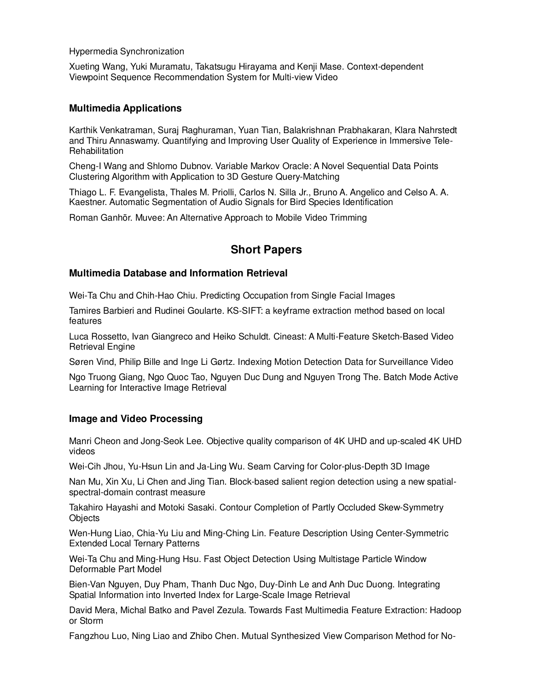Hypermedia Synchronization

Xueting Wang, Yuki Muramatu, Takatsugu Hirayama and Kenji Mase. Context-dependent Viewpoint Sequence Recommendation System for Multi-view Video

#### **Multimedia Applications**

Karthik Venkatraman, Suraj Raghuraman, Yuan Tian, Balakrishnan Prabhakaran, Klara Nahrstedt and Thiru Annaswamy. Quantifying and Improving User Quality of Experience in Immersive Tele-Rehabilitation

Cheng-I Wang and Shlomo Dubnov. Variable Markov Oracle: A Novel Sequential Data Points Clustering Algorithm with Application to 3D Gesture Query-Matching

Thiago L. F. Evangelista, Thales M. Priolli, Carlos N. Silla Jr., Bruno A. Angelico and Celso A. A. Kaestner. Automatic Segmentation of Audio Signals for Bird Species Identification

Roman Ganhör. Muvee: An Alternative Approach to Mobile Video Trimming

# **Short Papers**

## **Multimedia Database and Information Retrieval**

Wei-Ta Chu and Chih-Hao Chiu. Predicting Occupation from Single Facial Images

Tamires Barbieri and Rudinei Goularte. KS-SIFT: a keyframe extraction method based on local features

Luca Rossetto, Ivan Giangreco and Heiko Schuldt. Cineast: A Multi-Feature Sketch-Based Video Retrieval Engine

Søren Vind, Philip Bille and Inge Li Gørtz. Indexing Motion Detection Data for Surveillance Video

Ngo Truong Giang, Ngo Quoc Tao, Nguyen Duc Dung and Nguyen Trong The. Batch Mode Active Learning for Interactive Image Retrieval

## **Image and Video Processing**

Manri Cheon and Jong-Seok Lee. Objective quality comparison of 4K UHD and up-scaled 4K UHD videos

Wei-Cih Jhou, Yu-Hsun Lin and Ja-Ling Wu. Seam Carving for Color-plus-Depth 3D Image

Nan Mu, Xin Xu, Li Chen and Jing Tian. Block-based salient region detection using a new spatialspectral-domain contrast measure

Takahiro Hayashi and Motoki Sasaki. Contour Completion of Partly Occluded Skew-Symmetry **Objects** 

Wen-Hung Liao, Chia-Yu Liu and Ming-Ching Lin. Feature Description Using Center-Symmetric Extended Local Ternary Patterns

Wei-Ta Chu and Ming-Hung Hsu. Fast Object Detection Using Multistage Particle Window Deformable Part Model

Bien-Van Nguyen, Duy Pham, Thanh Duc Ngo, Duy-Dinh Le and Anh Duc Duong. Integrating Spatial Information into Inverted Index for Large-Scale Image Retrieval

David Mera, Michal Batko and Pavel Zezula. Towards Fast Multimedia Feature Extraction: Hadoop or Storm

Fangzhou Luo, Ning Liao and Zhibo Chen. Mutual Synthesized View Comparison Method for No-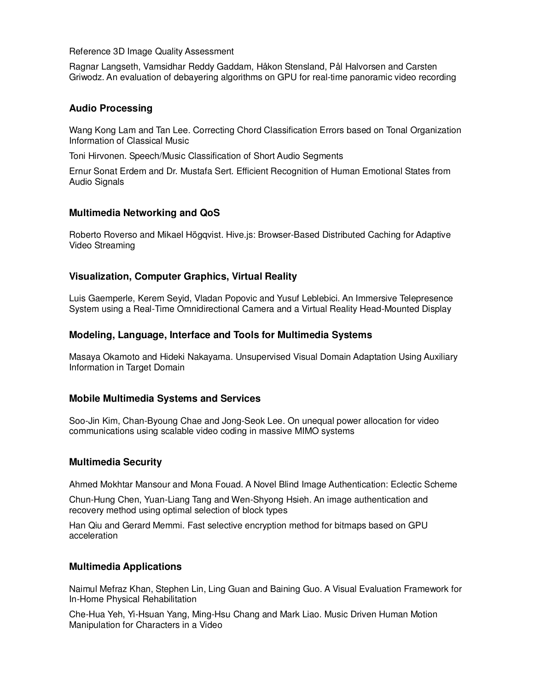Reference 3D Image Quality Assessment

Ragnar Langseth, Vamsidhar Reddy Gaddam, Håkon Stensland, Pål Halvorsen and Carsten Griwodz. An evaluation of debayering algorithms on GPU for real-time panoramic video recording

## **Audio Processing**

Wang Kong Lam and Tan Lee. Correcting Chord Classification Errors based on Tonal Organization Information of Classical Music

Toni Hirvonen. Speech/Music Classification of Short Audio Segments

Ernur Sonat Erdem and Dr. Mustafa Sert. Efficient Recognition of Human Emotional States from Audio Signals

## **Multimedia Networking and QoS**

Roberto Roverso and Mikael Högqvist. Hive.js: Browser-Based Distributed Caching for Adaptive Video Streaming

## **Visualization, Computer Graphics, Virtual Reality**

Luis Gaemperle, Kerem Seyid, Vladan Popovic and Yusuf Leblebici. An Immersive Telepresence System using a Real-Time Omnidirectional Camera and a Virtual Reality Head-Mounted Display

## **Modeling, Language, Interface and Tools for Multimedia Systems**

Masaya Okamoto and Hideki Nakayama. Unsupervised Visual Domain Adaptation Using Auxiliary Information in Target Domain

## **Mobile Multimedia Systems and Services**

Soo-Jin Kim, Chan-Byoung Chae and Jong-Seok Lee. On unequal power allocation for video communications using scalable video coding in massive MIMO systems

#### **Multimedia Security**

Ahmed Mokhtar Mansour and Mona Fouad. A Novel Blind Image Authentication: Eclectic Scheme

Chun-Hung Chen, Yuan-Liang Tang and Wen-Shyong Hsieh. An image authentication and recovery method using optimal selection of block types

Han Qiu and Gerard Memmi. Fast selective encryption method for bitmaps based on GPU acceleration

#### **Multimedia Applications**

Naimul Mefraz Khan, Stephen Lin, Ling Guan and Baining Guo. A Visual Evaluation Framework for In-Home Physical Rehabilitation

Che-Hua Yeh, Yi-Hsuan Yang, Ming-Hsu Chang and Mark Liao. Music Driven Human Motion Manipulation for Characters in a Video